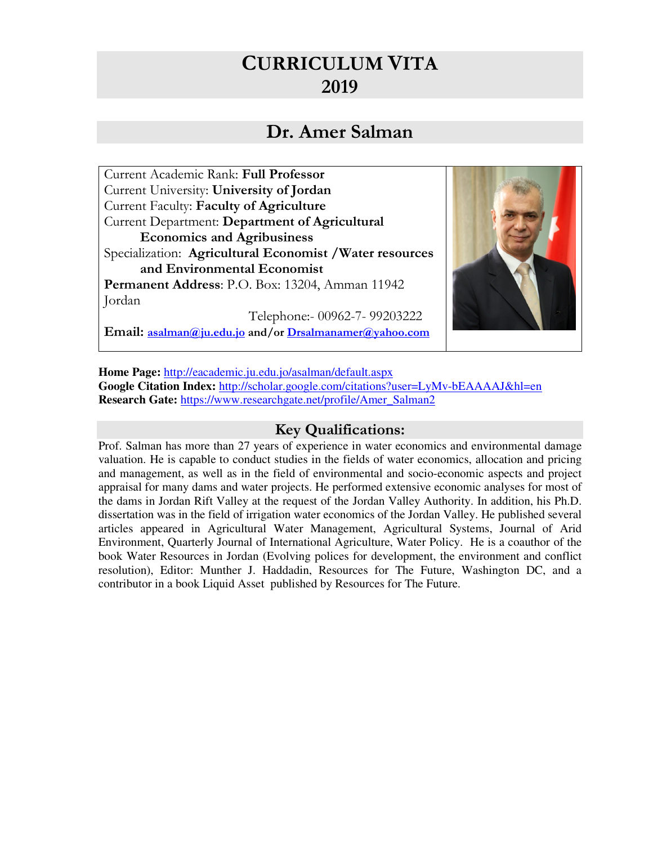# **CURRICULUM VITA 2019**

# **Dr. Amer Salman**

Current Academic Rank: **Full Professor** Current University: **University of Jordan**  Current Faculty: **Faculty of Agriculture**  Current Department: **Department of Agricultural Economics and Agribusiness**  Specialization: **Agricultural Economist /Water resources and Environmental Economist Permanent Address**: P.O. Box: 13204, Amman 11942 Jordan Telephone:- 00962-7- 99203222



**Email: asalman@ju.edu.jo and/or Drsalmanamer@yahoo.com**

**Home Page:** http://eacademic.ju.edu.jo/asalman/default.aspx **Google Citation Index:** http://scholar.google.com/citations?user=LyMv-bEAAAAJ&hl=en **Research Gate:** https://www.researchgate.net/profile/Amer\_Salman2

#### **Key Qualifications:**

Prof. Salman has more than 27 years of experience in water economics and environmental damage valuation. He is capable to conduct studies in the fields of water economics, allocation and pricing and management, as well as in the field of environmental and socio-economic aspects and project appraisal for many dams and water projects. He performed extensive economic analyses for most of the dams in Jordan Rift Valley at the request of the Jordan Valley Authority. In addition, his Ph.D. dissertation was in the field of irrigation water economics of the Jordan Valley. He published several articles appeared in Agricultural Water Management, Agricultural Systems, Journal of Arid Environment, Quarterly Journal of International Agriculture, Water Policy. He is a coauthor of the book Water Resources in Jordan (Evolving polices for development, the environment and conflict resolution), Editor: Munther J. Haddadin, Resources for The Future, Washington DC, and a contributor in a book Liquid Asset published by Resources for The Future.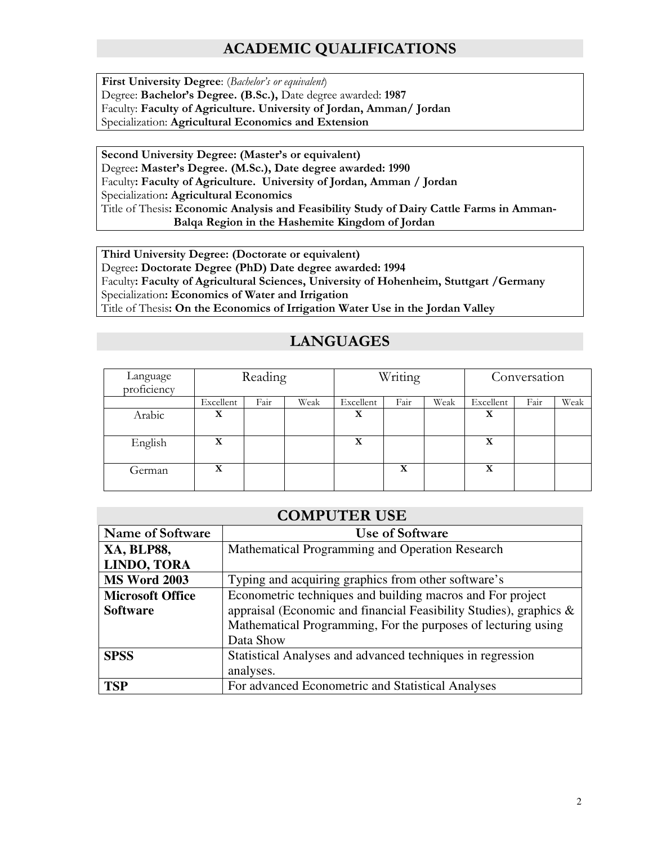# **ACADEMIC QUALIFICATIONS**

**First University Degree**: (*Bachelor's or equivalent*) Degree: **Bachelor's Degree. (B.Sc.),** Date degree awarded: **1987** Faculty: **Faculty of Agriculture. University of Jordan, Amman/ Jordan** Specialization: **Agricultural Economics and Extension**

 **Second University Degree: (Master's or equivalent)** Degree**: Master's Degree. (M.Sc.), Date degree awarded: 1990**  Faculty**: Faculty of Agriculture. University of Jordan, Amman / Jordan**  Specialization**: Agricultural Economics**  Title of Thesis**: Economic Analysis and Feasibility Study of Dairy Cattle Farms in Amman- Balqa Region in the Hashemite Kingdom of Jordan** 

 **Third University Degree: (Doctorate or equivalent)** Degree**: Doctorate Degree (PhD) Date degree awarded: 1994**  Faculty**: Faculty of Agricultural Sciences, University of Hohenheim, Stuttgart /Germany**  Specialization**: Economics of Water and Irrigation**  Title of Thesis**: On the Economics of Irrigation Water Use in the Jordan Valley** 

#### **LANGUAGES**

| Language<br>proficiency | Reading   |      | Writing |           | Conversation |      |           |      |      |
|-------------------------|-----------|------|---------|-----------|--------------|------|-----------|------|------|
|                         | Excellent | Fair | Weak    | Excellent | Fair         | Weak | Excellent | Fair | Weak |
| Arabic                  | X         |      |         | X         |              |      | X         |      |      |
| English                 | X         |      |         | X         |              |      | X         |      |      |
| German                  | X         |      |         |           | X            |      | X         |      |      |

| <b>COMPUTER USE</b>                                           |                                                                    |  |  |  |  |
|---------------------------------------------------------------|--------------------------------------------------------------------|--|--|--|--|
| <b>Name of Software</b>                                       | Use of Software                                                    |  |  |  |  |
| <b>XA, BLP88,</b>                                             | Mathematical Programming and Operation Research                    |  |  |  |  |
| LINDO, TORA                                                   |                                                                    |  |  |  |  |
| <b>MS Word 2003</b>                                           | Typing and acquiring graphics from other software's                |  |  |  |  |
| <b>Microsoft Office</b>                                       | Econometric techniques and building macros and For project         |  |  |  |  |
| <b>Software</b>                                               | appraisal (Economic and financial Feasibility Studies), graphics & |  |  |  |  |
| Mathematical Programming, For the purposes of lecturing using |                                                                    |  |  |  |  |
|                                                               | Data Show                                                          |  |  |  |  |
| <b>SPSS</b>                                                   | Statistical Analyses and advanced techniques in regression         |  |  |  |  |
|                                                               | analyses.                                                          |  |  |  |  |
| <b>TSP</b>                                                    | For advanced Econometric and Statistical Analyses                  |  |  |  |  |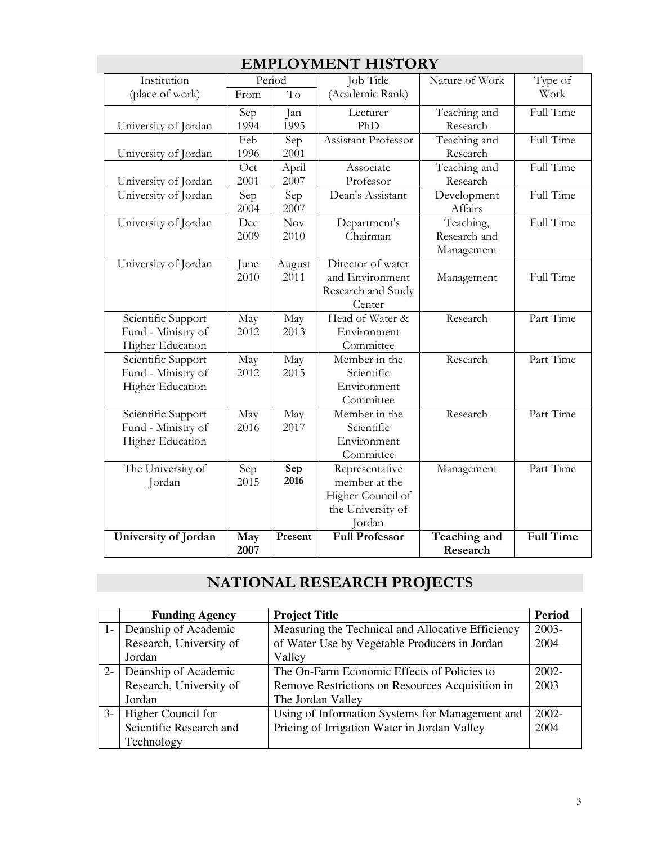| Institution                                                  |              | LU TITLL<br>Period | Job Title<br>Nature of Work                                                         |                                         |                  |
|--------------------------------------------------------------|--------------|--------------------|-------------------------------------------------------------------------------------|-----------------------------------------|------------------|
| (place of work)                                              | From         | To                 | (Academic Rank)                                                                     |                                         |                  |
| University of Jordan                                         | Sep<br>1994  | Jan<br>1995        | Lecturer<br>PhD                                                                     | Teaching and<br>Research                | Full Time        |
| University of Jordan                                         | Feb<br>1996  | Sep<br>2001        | Assistant Professor                                                                 | Teaching and<br>Research                | Full Time        |
| University of Jordan                                         | Oct<br>2001  | April<br>2007      | Associate<br>Professor                                                              | Teaching and<br>Research                | Full Time        |
| University of Jordan                                         | Sep<br>2004  | Sep<br>2007        | Dean's Assistant                                                                    | Development<br>Affairs                  | Full Time        |
| University of Jordan                                         | Dec<br>2009  | Nov<br>2010        | Department's<br>Chairman                                                            | Teaching,<br>Research and<br>Management | Full Time        |
| University of Jordan                                         | June<br>2010 | August<br>2011     | Director of water<br>and Environment<br>Research and Study<br>Center                | Management                              | Full Time        |
| Scientific Support<br>Fund - Ministry of<br>Higher Education | May<br>2012  | May<br>2013        | Head of Water &<br>Environment<br>Committee                                         | Research                                | Part Time        |
| Scientific Support<br>Fund - Ministry of<br>Higher Education | May<br>2012  | May<br>2015        | Member in the<br>Scientific<br>Environment<br>Committee                             | Research                                | Part Time        |
| Scientific Support<br>Fund - Ministry of<br>Higher Education | May<br>2016  | May<br>2017        | Member in the<br>Scientific<br>Environment<br>Committee                             | Research                                | Part Time        |
| The University of<br>Jordan                                  | Sep<br>2015  | Sep<br>2016        | Representative<br>member at the<br>Higher Council of<br>the University of<br>Jordan | Management                              | Part Time        |
| University of Jordan                                         | May<br>2007  | Present            | <b>Full Professor</b>                                                               | Teaching and<br>Research                | <b>Full Time</b> |

## **EMPLOYMENT HISTORY**

# **NATIONAL RESEARCH PROJECTS**

|       | <b>Funding Agency</b>   | <b>Project Title</b>                              | Period   |
|-------|-------------------------|---------------------------------------------------|----------|
| $1 -$ | Deanship of Academic    | Measuring the Technical and Allocative Efficiency | $2003 -$ |
|       | Research, University of | of Water Use by Vegetable Producers in Jordan     | 2004     |
|       | Jordan                  | Valley                                            |          |
| $2 -$ | Deanship of Academic    | The On-Farm Economic Effects of Policies to       | $2002 -$ |
|       | Research, University of | Remove Restrictions on Resources Acquisition in   | 2003     |
|       | Jordan                  | The Jordan Valley                                 |          |
| $3-$  | Higher Council for      | Using of Information Systems for Management and   | $2002 -$ |
|       | Scientific Research and | Pricing of Irrigation Water in Jordan Valley      | 2004     |
|       | Technology              |                                                   |          |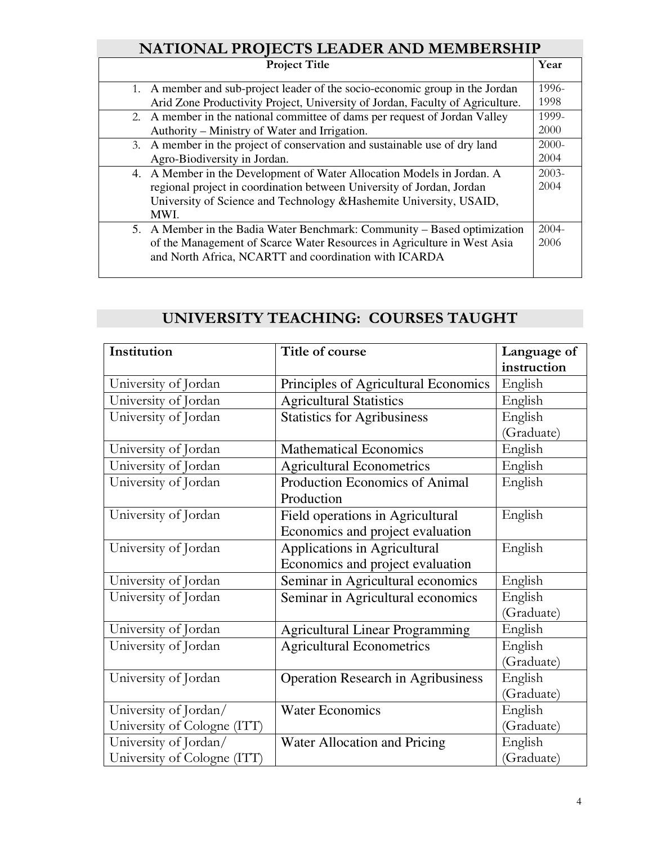### **NATIONAL PROJECTS LEADER AND MEMBERSHIP**

| <b>Project Title</b>                                                          | Year     |
|-------------------------------------------------------------------------------|----------|
| 1. A member and sub-project leader of the socio-economic group in the Jordan  | 1996-    |
| Arid Zone Productivity Project, University of Jordan, Faculty of Agriculture. | 1998     |
| 2. A member in the national committee of dams per request of Jordan Valley    | 1999-    |
| Authority – Ministry of Water and Irrigation.                                 | 2000     |
| 3. A member in the project of conservation and sustainable use of dry land    | $2000 -$ |
| Agro-Biodiversity in Jordan.                                                  | 2004     |
| 4. A Member in the Development of Water Allocation Models in Jordan. A        | $2003-$  |
| regional project in coordination between University of Jordan, Jordan         | 2004     |
| University of Science and Technology & Hashemite University, USAID,           |          |
| MWI.                                                                          |          |
| 5. A Member in the Badia Water Benchmark: Community – Based optimization      | $2004 -$ |
| of the Management of Scarce Water Resources in Agriculture in West Asia       | 2006     |
| and North Africa, NCARTT and coordination with ICARDA                         |          |
|                                                                               |          |

# **UNIVERSITY TEACHING: COURSES TAUGHT**

| Institution                 | Title of course                           | Language of |
|-----------------------------|-------------------------------------------|-------------|
|                             |                                           | instruction |
| University of Jordan        | Principles of Agricultural Economics      | English     |
| University of Jordan        | <b>Agricultural Statistics</b>            | English     |
| University of Jordan        | <b>Statistics for Agribusiness</b>        | English     |
|                             |                                           | (Graduate)  |
| University of Jordan        | <b>Mathematical Economics</b>             | English     |
| University of Jordan        | <b>Agricultural Econometrics</b>          | English     |
| University of Jordan        | Production Economics of Animal            | English     |
|                             | Production                                |             |
| University of Jordan        | Field operations in Agricultural          | English     |
|                             | Economics and project evaluation          |             |
| University of Jordan        | Applications in Agricultural              | English     |
|                             | Economics and project evaluation          |             |
| University of Jordan        | Seminar in Agricultural economics         | English     |
| University of Jordan        | Seminar in Agricultural economics         | English     |
|                             |                                           | (Graduate)  |
| University of Jordan        | <b>Agricultural Linear Programming</b>    | English     |
| University of Jordan        | <b>Agricultural Econometrics</b>          | English     |
|                             |                                           | (Graduate)  |
| University of Jordan        | <b>Operation Research in Agribusiness</b> | English     |
|                             |                                           | (Graduate)  |
| University of Jordan/       | <b>Water Economics</b>                    | English     |
| University of Cologne (ITT) |                                           | (Graduate)  |
| University of Jordan/       | Water Allocation and Pricing              | English     |
| University of Cologne (ITT) |                                           | (Graduate)  |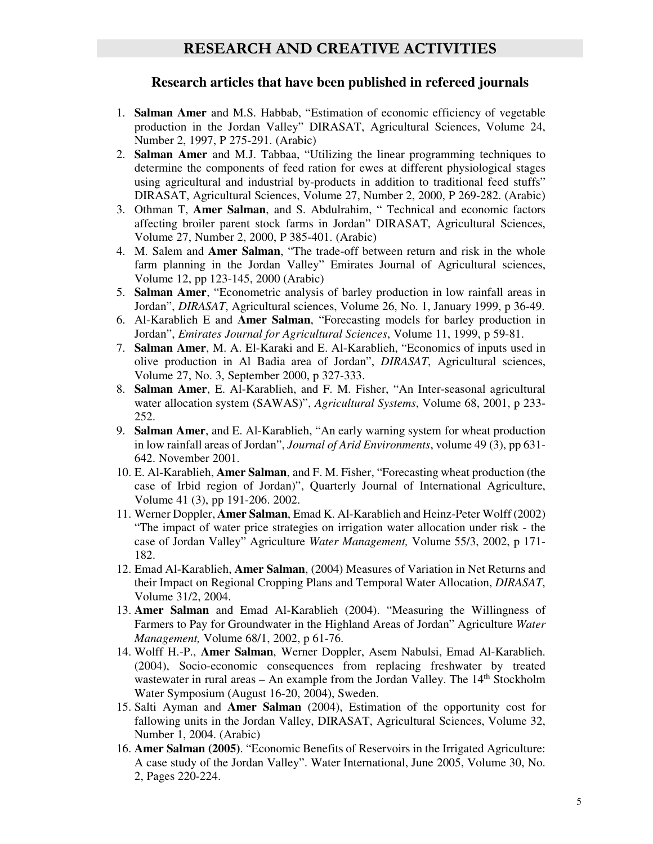#### **Research articles that have been published in refereed journals**

- 1. **Salman Amer** and M.S. Habbab, "Estimation of economic efficiency of vegetable production in the Jordan Valley" DIRASAT, Agricultural Sciences, Volume 24, Number 2, 1997, P 275-291. (Arabic)
- 2. **Salman Amer** and M.J. Tabbaa, "Utilizing the linear programming techniques to determine the components of feed ration for ewes at different physiological stages using agricultural and industrial by-products in addition to traditional feed stuffs" DIRASAT, Agricultural Sciences, Volume 27, Number 2, 2000, P 269-282. (Arabic)
- 3. Othman T, **Amer Salman**, and S. Abdulrahim, " Technical and economic factors affecting broiler parent stock farms in Jordan" DIRASAT, Agricultural Sciences, Volume 27, Number 2, 2000, P 385-401. (Arabic)
- 4. M. Salem and **Amer Salman**, "The trade-off between return and risk in the whole farm planning in the Jordan Valley" Emirates Journal of Agricultural sciences, Volume 12, pp 123-145, 2000 (Arabic)
- 5. **Salman Amer**, "Econometric analysis of barley production in low rainfall areas in Jordan", *DIRASAT*, Agricultural sciences, Volume 26, No. 1, January 1999, p 36-49.
- 6. Al-Karablieh E and **Amer Salman**, "Forecasting models for barley production in Jordan", *Emirates Journal for Agricultural Sciences*, Volume 11, 1999, p 59-81.
- 7. **Salman Amer**, M. A. El-Karaki and E. Al-Karablieh, "Economics of inputs used in olive production in Al Badia area of Jordan", *DIRASAT*, Agricultural sciences, Volume 27, No. 3, September 2000, p 327-333.
- 8. **Salman Amer**, E. Al-Karablieh, and F. M. Fisher, "An Inter-seasonal agricultural water allocation system (SAWAS)", *Agricultural Systems*, Volume 68, 2001, p 233- 252.
- 9. **Salman Amer**, and E. Al-Karablieh, "An early warning system for wheat production in low rainfall areas of Jordan", *Journal of Arid Environments*, volume 49 (3), pp 631- 642. November 2001.
- 10. E. Al-Karablieh, **Amer Salman**, and F. M. Fisher, "Forecasting wheat production (the case of Irbid region of Jordan)", Quarterly Journal of International Agriculture, Volume 41 (3), pp 191-206. 2002.
- 11. Werner Doppler, **Amer Salman**, Emad K. Al-Karablieh and Heinz-Peter Wolff (2002) "The impact of water price strategies on irrigation water allocation under risk - the case of Jordan Valley" Agriculture *Water Management,* Volume 55/3, 2002, p 171- 182.
- 12. Emad Al-Karablieh, **Amer Salman**, (2004) Measures of Variation in Net Returns and their Impact on Regional Cropping Plans and Temporal Water Allocation, *DIRASAT*, Volume 31/2, 2004.
- 13. **Amer Salman** and Emad Al-Karablieh (2004). "Measuring the Willingness of Farmers to Pay for Groundwater in the Highland Areas of Jordan" Agriculture *Water Management,* Volume 68/1, 2002, p 61-76.
- 14. Wolff H.-P., **Amer Salman**, Werner Doppler, Asem Nabulsi, Emad Al-Karablieh. (2004), Socio-economic consequences from replacing freshwater by treated wastewater in rural areas – An example from the Jordan Valley. The  $14<sup>th</sup>$  Stockholm Water Symposium (August 16-20, 2004), Sweden.
- 15. Salti Ayman and **Amer Salman** (2004), Estimation of the opportunity cost for fallowing units in the Jordan Valley, DIRASAT, Agricultural Sciences, Volume 32, Number 1, 2004. (Arabic)
- 16. **Amer Salman (2005)**. "Economic Benefits of Reservoirs in the Irrigated Agriculture: A case study of the Jordan Valley". Water International, June 2005, Volume 30, No. 2, Pages 220-224.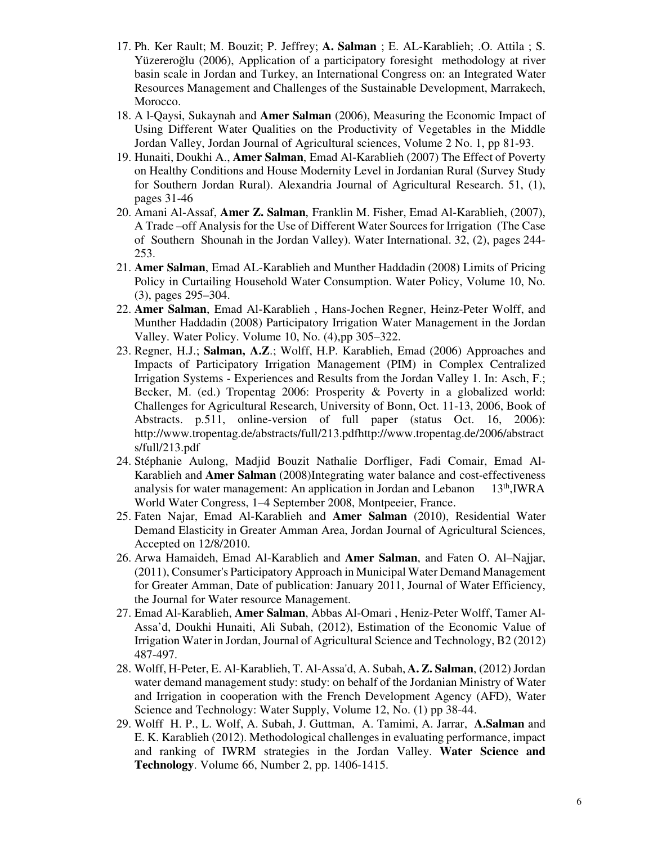- 17. Ph. Ker Rault; M. Bouzit; P. Jeffrey; **A. Salman** ; E. AL-Karablieh; .O. Attila ; S. Yüzereroğlu (2006), Application of a participatory foresight methodology at river basin scale in Jordan and Turkey, an International Congress on: an Integrated Water Resources Management and Challenges of the Sustainable Development, Marrakech, Morocco.
- 18. A l-Qaysi, Sukaynah and **Amer Salman** (2006), Measuring the Economic Impact of Using Different Water Qualities on the Productivity of Vegetables in the Middle Jordan Valley, Jordan Journal of Agricultural sciences, Volume 2 No. 1, pp 81-93.
- 19. Hunaiti, Doukhi A., **Amer Salman**, Emad Al-Karablieh (2007) The Effect of Poverty on Healthy Conditions and House Modernity Level in Jordanian Rural (Survey Study for Southern Jordan Rural). Alexandria Journal of Agricultural Research. 51, (1), pages 31-46
- 20. Amani Al-Assaf, **Amer Z. Salman**, Franklin M. Fisher, Emad Al-Karablieh, (2007), A Trade –off Analysis for the Use of Different Water Sources for Irrigation (The Case of Southern Shounah in the Jordan Valley). Water International. 32, (2), pages 244- 253.
- 21. **Amer Salman**, Emad AL-Karablieh and Munther Haddadin (2008) Limits of Pricing Policy in Curtailing Household Water Consumption. Water Policy, Volume 10, No. (3), pages 295–304.
- 22. **Amer Salman**, Emad Al-Karablieh , Hans-Jochen Regner, Heinz-Peter Wolff, and Munther Haddadin (2008) Participatory Irrigation Water Management in the Jordan Valley. Water Policy. Volume 10, No. (4),pp 305–322.
- 23. Regner, H.J.; **Salman, A.Z**.; Wolff, H.P. Karablieh, Emad (2006) Approaches and Impacts of Participatory Irrigation Management (PIM) in Complex Centralized Irrigation Systems - Experiences and Results from the Jordan Valley 1. In: Asch, F.; Becker, M. (ed.) Tropentag 2006: Prosperity & Poverty in a globalized world: Challenges for Agricultural Research, University of Bonn, Oct. 11-13, 2006, Book of Abstracts. p.511, online-version of full paper (status Oct. 16, 2006): http://www.tropentag.de/abstracts/full/213.pdfhttp://www.tropentag.de/2006/abstract s/full/213.pdf
- 24. Stéphanie Aulong, Madjid Bouzit Nathalie Dorfliger, Fadi Comair, Emad Al-Karablieh and **Amer Salman** (2008)Integrating water balance and cost-effectiveness analysis for water management: An application in Jordan and Lebanon 13th,IWRA World Water Congress, 1–4 September 2008, Montpeeier, France.
- 25. Faten Najar, Emad Al-Karablieh and **Amer Salman** (2010), Residential Water Demand Elasticity in Greater Amman Area, Jordan Journal of Agricultural Sciences, Accepted on 12/8/2010.
- 26. Arwa Hamaideh, Emad Al-Karablieh and **Amer Salman**, and Faten O. Al–Najjar, (2011), Consumer's Participatory Approach in Municipal Water Demand Management for Greater Amman, Date of publication: January 2011, Journal of Water Efficiency, the Journal for Water resource Management.
- 27. Emad Al-Karablieh, **Amer Salman**, Abbas Al-Omari , Heniz-Peter Wolff, Tamer Al-Assa'd, Doukhi Hunaiti, Ali Subah, (2012), Estimation of the Economic Value of Irrigation Water in Jordan, Journal of Agricultural Science and Technology, B2 (2012) 487-497.
- 28. Wolff, H-Peter, E. Al-Karablieh, T. Al-Assa'd, A. Subah, **A. Z. Salman**, (2012) Jordan water demand management study: study: on behalf of the Jordanian Ministry of Water and Irrigation in cooperation with the French Development Agency (AFD), Water Science and Technology: Water Supply, Volume 12, No. (1) pp 38-44.
- 29. Wolff H. P., L. Wolf, A. Subah, J. Guttman, A. Tamimi, A. Jarrar, **A.Salman** and E. K. Karablieh (2012). Methodological challenges in evaluating performance, impact and ranking of IWRM strategies in the Jordan Valley. **Water Science and Technology**. Volume 66, Number 2, pp. 1406-1415.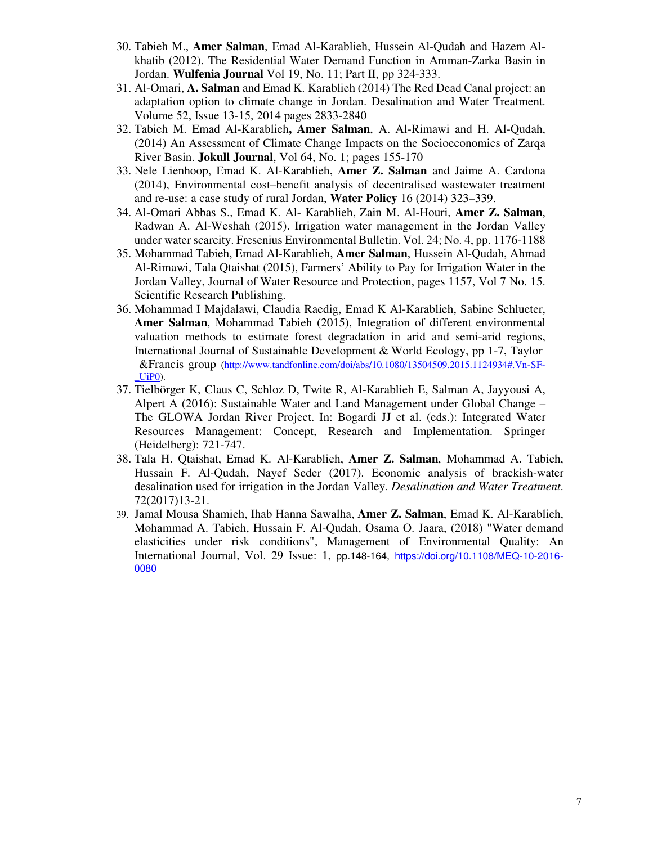- 30. Tabieh M., **Amer Salman**, Emad Al-Karablieh, Hussein Al-Qudah and Hazem Alkhatib (2012). The Residential Water Demand Function in Amman-Zarka Basin in Jordan. **Wulfenia Journal** Vol 19, No. 11; Part II, pp 324-333.
- 31. Al-Omari, **A. Salman** and Emad K. Karablieh (2014) The Red Dead Canal project: an adaptation option to climate change in Jordan. Desalination and Water Treatment. Volume 52, Issue 13-15, 2014 pages 2833-2840
- 32. Tabieh M. Emad Al-Karablieh**, Amer Salman**, A. Al-Rimawi and H. Al-Qudah, (2014) An Assessment of Climate Change Impacts on the Socioeconomics of Zarqa River Basin. **Jokull Journal**, Vol 64, No. 1; pages 155-170
- 33. Nele Lienhoop, Emad K. Al-Karablieh, **Amer Z. Salman** and Jaime A. Cardona (2014), Environmental cost–benefit analysis of decentralised wastewater treatment and re-use: a case study of rural Jordan, **Water Policy** 16 (2014) 323–339.
- 34. Al-Omari Abbas S., Emad K. Al- Karablieh, Zain M. Al-Houri, **Amer Z. Salman**, Radwan A. Al-Weshah (2015). Irrigation water management in the Jordan Valley under water scarcity. Fresenius Environmental Bulletin. Vol. 24; No. 4, pp. 1176-1188
- 35. Mohammad Tabieh, Emad Al-Karablieh, **Amer Salman**, Hussein Al-Qudah, Ahmad Al-Rimawi, Tala Qtaishat (2015), Farmers' Ability to Pay for Irrigation Water in the Jordan Valley, Journal of Water Resource and Protection, pages 1157, Vol 7 No. 15. Scientific Research Publishing.
- 36. Mohammad I Majdalawi, Claudia Raedig, Emad K Al-Karablieh, Sabine Schlueter, **Amer Salman**, Mohammad Tabieh (2015), Integration of different environmental valuation methods to estimate forest degradation in arid and semi-arid regions, International Journal of Sustainable Development & World Ecology, pp 1-7, Taylor &Francis group (http://www.tandfonline.com/doi/abs/10.1080/13504509.2015.1124934#.Vn-SF- \_UiP0).
- 37. Tielbörger K, Claus C, Schloz D, Twite R, Al-Karablieh E, Salman A, Jayyousi A, Alpert A (2016): Sustainable Water and Land Management under Global Change – The GLOWA Jordan River Project. In: Bogardi JJ et al. (eds.): Integrated Water Resources Management: Concept, Research and Implementation. Springer (Heidelberg): 721-747.
- 38. Tala H. Qtaishat, Emad K. Al-Karablieh, **Amer Z. Salman**, Mohammad A. Tabieh, Hussain F. Al-Qudah, Nayef Seder (2017). Economic analysis of brackish-water desalination used for irrigation in the Jordan Valley. *Desalination and Water Treatment*. 72(2017)13-21.
- 39. Jamal Mousa Shamieh, Ihab Hanna Sawalha, **Amer Z. Salman**, Emad K. Al-Karablieh, Mohammad A. Tabieh, Hussain F. Al-Qudah, Osama O. Jaara, (2018) "Water demand elasticities under risk conditions", Management of Environmental Quality: An International Journal, Vol. 29 Issue: 1, pp.148-164, https://doi.org/10.1108/MEQ-10-2016- 0080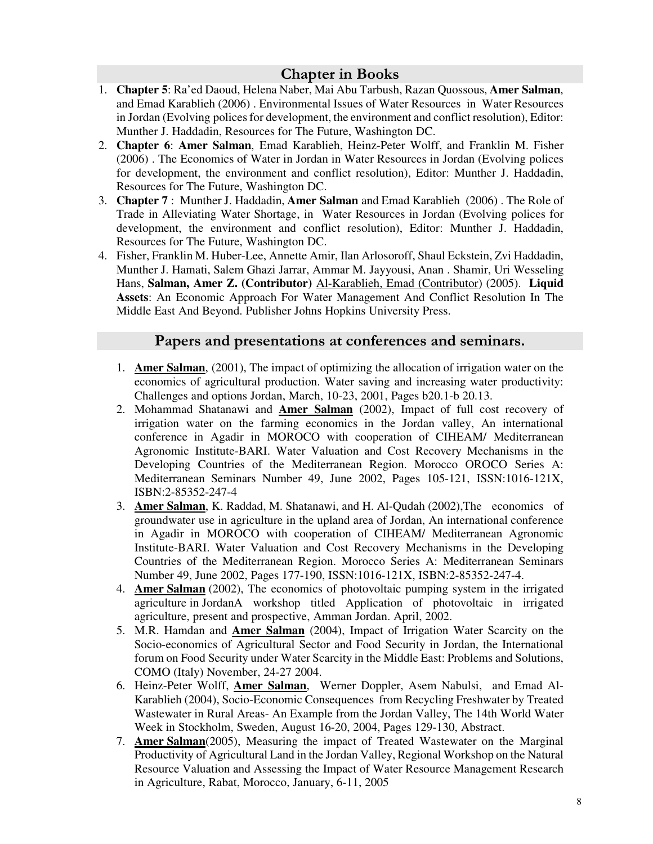#### **Chapter in Books**

- 1. **Chapter 5**: Ra'ed Daoud, Helena Naber, Mai Abu Tarbush, Razan Quossous, **Amer Salman**, and Emad Karablieh (2006) . Environmental Issues of Water Resources in Water Resources in Jordan (Evolving polices for development, the environment and conflict resolution), Editor: Munther J. Haddadin, Resources for The Future, Washington DC.
- 2. **Chapter 6**: **Amer Salman**, Emad Karablieh, Heinz-Peter Wolff, and Franklin M. Fisher (2006) . The Economics of Water in Jordan in Water Resources in Jordan (Evolving polices for development, the environment and conflict resolution), Editor: Munther J. Haddadin, Resources for The Future, Washington DC.
- 3. **Chapter 7** : Munther J. Haddadin, **Amer Salman** and Emad Karablieh (2006) . The Role of Trade in Alleviating Water Shortage, in Water Resources in Jordan (Evolving polices for development, the environment and conflict resolution), Editor: Munther J. Haddadin, Resources for The Future, Washington DC.
- 4. Fisher, Franklin M. Huber-Lee, Annette Amir, Ilan Arlosoroff, Shaul Eckstein, Zvi Haddadin, Munther J. Hamati, Salem Ghazi Jarrar, Ammar M. Jayyousi, Anan . Shamir, Uri Wesseling Hans, **Salman, Amer Z. (Contributor)** Al-Karablieh, Emad (Contributor) (2005). **Liquid Assets**: An Economic Approach For Water Management And Conflict Resolution In The Middle East And Beyond. Publisher Johns Hopkins University Press.

#### **Papers and presentations at conferences and seminars.**

- 1. **Amer Salman**, (2001), The impact of optimizing the allocation of irrigation water on the economics of agricultural production. Water saving and increasing water productivity: Challenges and options Jordan, March, 10-23, 2001, Pages b20.1-b 20.13.
- 2. Mohammad Shatanawi and **Amer Salman** (2002), Impact of full cost recovery of irrigation water on the farming economics in the Jordan valley, An international conference in Agadir in MOROCO with cooperation of CIHEAM/ Mediterranean Agronomic Institute-BARI. Water Valuation and Cost Recovery Mechanisms in the Developing Countries of the Mediterranean Region. Morocco OROCO Series A: Mediterranean Seminars Number 49, June 2002, Pages 105-121, ISSN:1016-121X, ISBN:2-85352-247-4
- 3. **Amer Salman**, K. Raddad, M. Shatanawi, and H. Al-Qudah (2002),The economics of groundwater use in agriculture in the upland area of Jordan, An international conference in Agadir in MOROCO with cooperation of CIHEAM/ Mediterranean Agronomic Institute-BARI. Water Valuation and Cost Recovery Mechanisms in the Developing Countries of the Mediterranean Region. Morocco Series A: Mediterranean Seminars Number 49, June 2002, Pages 177-190, ISSN:1016-121X, ISBN:2-85352-247-4.
- 4. **Amer Salman** (2002), The economics of photovoltaic pumping system in the irrigated agriculture in JordanA workshop titled Application of photovoltaic in irrigated agriculture, present and prospective, Amman Jordan. April, 2002.
- 5. M.R. Hamdan and **Amer Salman** (2004), Impact of Irrigation Water Scarcity on the Socio-economics of Agricultural Sector and Food Security in Jordan, the International forum on Food Security under Water Scarcity in the Middle East: Problems and Solutions, COMO (Italy) November, 24-27 2004.
- 6. Heinz-Peter Wolff, **Amer Salman**, Werner Doppler, Asem Nabulsi, and Emad Al-Karablieh (2004), Socio-Economic Consequences from Recycling Freshwater by Treated Wastewater in Rural Areas- An Example from the Jordan Valley, The 14th World Water Week in Stockholm, Sweden, August 16-20, 2004, Pages 129-130, Abstract.
- 7. **Amer Salman**(2005), Measuring the impact of Treated Wastewater on the Marginal Productivity of Agricultural Land in the Jordan Valley, Regional Workshop on the Natural Resource Valuation and Assessing the Impact of Water Resource Management Research in Agriculture, Rabat, Morocco, January, 6-11, 2005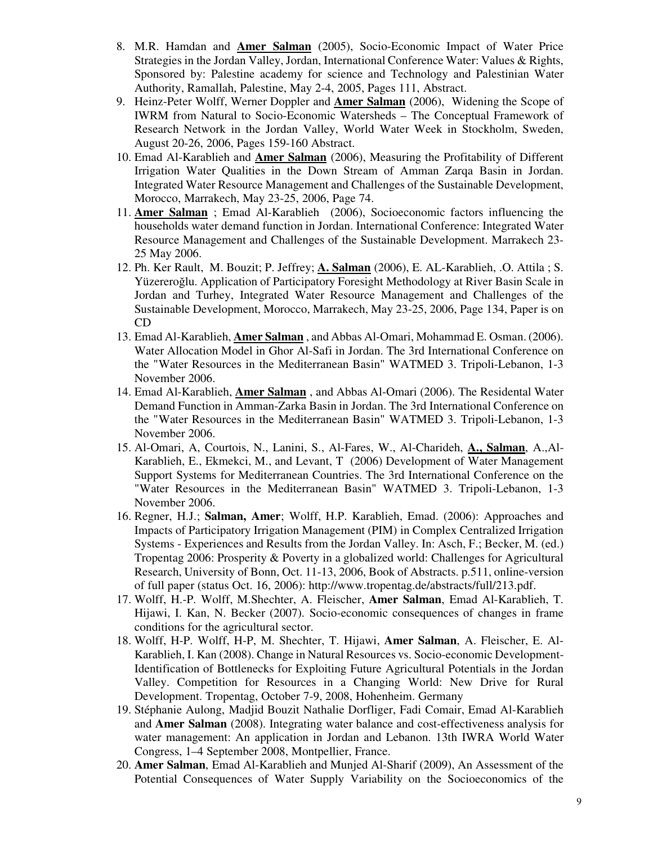- 8. M.R. Hamdan and **Amer Salman** (2005), Socio-Economic Impact of Water Price Strategies in the Jordan Valley, Jordan, International Conference Water: Values & Rights, Sponsored by: Palestine academy for science and Technology and Palestinian Water Authority, Ramallah, Palestine, May 2-4, 2005, Pages 111, Abstract.
- 9. Heinz-Peter Wolff, Werner Doppler and **Amer Salman** (2006), Widening the Scope of IWRM from Natural to Socio-Economic Watersheds – The Conceptual Framework of Research Network in the Jordan Valley, World Water Week in Stockholm, Sweden, August 20-26, 2006, Pages 159-160 Abstract.
- 10. Emad Al-Karablieh and **Amer Salman** (2006), Measuring the Profitability of Different Irrigation Water Qualities in the Down Stream of Amman Zarqa Basin in Jordan. Integrated Water Resource Management and Challenges of the Sustainable Development, Morocco, Marrakech, May 23-25, 2006, Page 74.
- 11. **Amer Salman** ; Emad Al-Karablieh (2006), Socioeconomic factors influencing the households water demand function in Jordan. International Conference: Integrated Water Resource Management and Challenges of the Sustainable Development. Marrakech 23- 25 May 2006.
- 12. Ph. Ker Rault, M. Bouzit; P. Jeffrey; **A. Salman** (2006), E. AL-Karablieh, .O. Attila ; S. Yüzereroğlu. Application of Participatory Foresight Methodology at River Basin Scale in Jordan and Turhey, Integrated Water Resource Management and Challenges of the Sustainable Development, Morocco, Marrakech, May 23-25, 2006, Page 134, Paper is on CD
- 13. Emad Al-Karablieh, **Amer Salman** , and Abbas Al-Omari, Mohammad E. Osman. (2006). Water Allocation Model in Ghor Al-Safi in Jordan. The 3rd International Conference on the "Water Resources in the Mediterranean Basin" WATMED 3. Tripoli-Lebanon, 1-3 November 2006.
- 14. Emad Al-Karablieh, **Amer Salman** , and Abbas Al-Omari (2006). The Residental Water Demand Function in Amman-Zarka Basin in Jordan. The 3rd International Conference on the "Water Resources in the Mediterranean Basin" WATMED 3. Tripoli-Lebanon, 1-3 November 2006.
- 15. Al-Omari, A, Courtois, N., Lanini, S., Al-Fares, W., Al-Charideh, **A., Salman**, A.,Al-Karablieh, E., Ekmekci, M., and Levant, T (2006) Development of Water Management Support Systems for Mediterranean Countries. The 3rd International Conference on the "Water Resources in the Mediterranean Basin" WATMED 3. Tripoli-Lebanon, 1-3 November 2006.
- 16. Regner, H.J.; **Salman, Amer**; Wolff, H.P. Karablieh, Emad. (2006): Approaches and Impacts of Participatory Irrigation Management (PIM) in Complex Centralized Irrigation Systems - Experiences and Results from the Jordan Valley. In: Asch, F.; Becker, M. (ed.) Tropentag 2006: Prosperity & Poverty in a globalized world: Challenges for Agricultural Research, University of Bonn, Oct. 11-13, 2006, Book of Abstracts. p.511, online-version of full paper (status Oct. 16, 2006): http://www.tropentag.de/abstracts/full/213.pdf.
- 17. Wolff, H.-P. Wolff, M.Shechter, A. Fleischer, **Amer Salman**, Emad Al-Karablieh, T. Hijawi, I. Kan, N. Becker (2007). Socio-economic consequences of changes in frame conditions for the agricultural sector.
- 18. Wolff, H-P. Wolff, H-P, M. Shechter, T. Hijawi, **Amer Salman**, A. Fleischer, E. Al-Karablieh, I. Kan (2008). Change in Natural Resources vs. Socio-economic Development-Identification of Bottlenecks for Exploiting Future Agricultural Potentials in the Jordan Valley. Competition for Resources in a Changing World: New Drive for Rural Development. Tropentag, October 7-9, 2008, Hohenheim. Germany
- 19. Stéphanie Aulong, Madjid Bouzit Nathalie Dorfliger, Fadi Comair, Emad Al-Karablieh and **Amer Salman** (2008). Integrating water balance and cost-effectiveness analysis for water management: An application in Jordan and Lebanon. 13th IWRA World Water Congress, 1–4 September 2008, Montpellier, France.
- 20. **Amer Salman**, Emad Al-Karablieh and Munjed Al-Sharif (2009), An Assessment of the Potential Consequences of Water Supply Variability on the Socioeconomics of the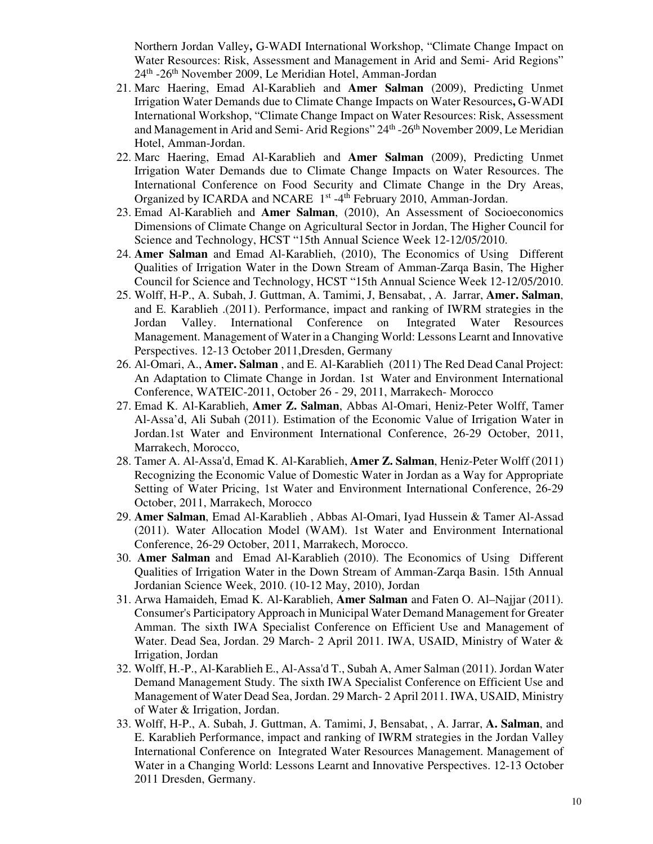Northern Jordan Valley**,** G-WADI International Workshop, "Climate Change Impact on Water Resources: Risk, Assessment and Management in Arid and Semi- Arid Regions" 24th -26th November 2009, Le Meridian Hotel, Amman-Jordan

- 21. Marc Haering, Emad Al-Karablieh and **Amer Salman** (2009), Predicting Unmet Irrigation Water Demands due to Climate Change Impacts on Water Resources**,** G-WADI International Workshop, "Climate Change Impact on Water Resources: Risk, Assessment and Management in Arid and Semi- Arid Regions" 24<sup>th</sup> -26<sup>th</sup> November 2009, Le Meridian Hotel, Amman-Jordan.
- 22. Marc Haering, Emad Al-Karablieh and **Amer Salman** (2009), Predicting Unmet Irrigation Water Demands due to Climate Change Impacts on Water Resources. The International Conference on Food Security and Climate Change in the Dry Areas, Organized by ICARDA and NCARE 1<sup>st</sup> -4<sup>th</sup> February 2010, Amman-Jordan.
- 23. Emad Al-Karablieh and **Amer Salman**, (2010), An Assessment of Socioeconomics Dimensions of Climate Change on Agricultural Sector in Jordan, The Higher Council for Science and Technology, HCST "15th Annual Science Week 12-12/05/2010.
- 24. **Amer Salman** and Emad Al-Karablieh, (2010), The Economics of Using Different Qualities of Irrigation Water in the Down Stream of Amman-Zarqa Basin, The Higher Council for Science and Technology, HCST "15th Annual Science Week 12-12/05/2010.
- 25. Wolff, H-P., A. Subah, J. Guttman, A. Tamimi, J, Bensabat, , A. Jarrar, **Amer. Salman**, and E. Karablieh .(2011). Performance, impact and ranking of IWRM strategies in the Jordan Valley. International Conference on Integrated Water Resources Management. Management of Water in a Changing World: Lessons Learnt and Innovative Perspectives. 12-13 October 2011,Dresden, Germany
- 26. Al-Omari, A., **Amer. Salman** , and E. Al-Karablieh (2011) The Red Dead Canal Project: An Adaptation to Climate Change in Jordan. 1st Water and Environment International Conference, WATEIC-2011, October 26 - 29, 2011, Marrakech- Morocco
- 27. Emad K. Al-Karablieh, **Amer Z. Salman**, Abbas Al-Omari, Heniz-Peter Wolff, Tamer Al-Assa'd, Ali Subah (2011). Estimation of the Economic Value of Irrigation Water in Jordan.1st Water and Environment International Conference, 26-29 October, 2011, Marrakech, Morocco,
- 28. Tamer A. Al-Assa'd, Emad K. Al-Karablieh, **Amer Z. Salman**, Heniz-Peter Wolff (2011) Recognizing the Economic Value of Domestic Water in Jordan as a Way for Appropriate Setting of Water Pricing, 1st Water and Environment International Conference, 26-29 October, 2011, Marrakech, Morocco
- 29. **Amer Salman**, Emad Al-Karablieh , Abbas Al-Omari, Iyad Hussein & Tamer Al-Assad (2011). Water Allocation Model (WAM). 1st Water and Environment International Conference, 26-29 October, 2011, Marrakech, Morocco.
- 30. **Amer Salman** and Emad Al-Karablieh (2010). The Economics of Using Different Qualities of Irrigation Water in the Down Stream of Amman-Zarqa Basin. 15th Annual Jordanian Science Week, 2010. (10-12 May, 2010), Jordan
- 31. Arwa Hamaideh, Emad K. Al-Karablieh, **Amer Salman** and Faten O. Al–Najjar (2011). Consumer's Participatory Approach in Municipal Water Demand Management for Greater Amman. The sixth IWA Specialist Conference on Efficient Use and Management of Water. Dead Sea, Jordan. 29 March- 2 April 2011. IWA, USAID, Ministry of Water & Irrigation, Jordan
- 32. Wolff, H.-P., Al-Karablieh E., Al-Assa'd T., Subah A, Amer Salman (2011). Jordan Water Demand Management Study. The sixth IWA Specialist Conference on Efficient Use and Management of Water Dead Sea, Jordan. 29 March- 2 April 2011. IWA, USAID, Ministry of Water & Irrigation, Jordan.
- 33. Wolff, H-P., A. Subah, J. Guttman, A. Tamimi, J, Bensabat, , A. Jarrar, **A. Salman**, and E. Karablieh Performance, impact and ranking of IWRM strategies in the Jordan Valley International Conference on Integrated Water Resources Management. Management of Water in a Changing World: Lessons Learnt and Innovative Perspectives. 12-13 October 2011 Dresden, Germany.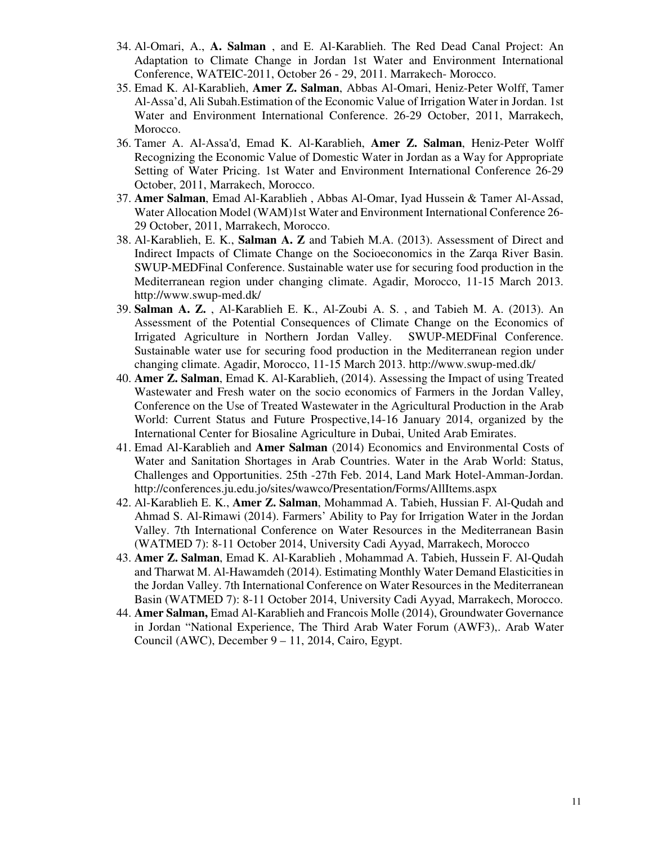- 34. Al-Omari, A., **A. Salman** , and E. Al-Karablieh. The Red Dead Canal Project: An Adaptation to Climate Change in Jordan 1st Water and Environment International Conference, WATEIC-2011, October 26 - 29, 2011. Marrakech- Morocco.
- 35. Emad K. Al-Karablieh, **Amer Z. Salman**, Abbas Al-Omari, Heniz-Peter Wolff, Tamer Al-Assa'd, Ali Subah.Estimation of the Economic Value of Irrigation Water in Jordan. 1st Water and Environment International Conference. 26-29 October, 2011, Marrakech, Morocco.
- 36. Tamer A. Al-Assa'd, Emad K. Al-Karablieh, **Amer Z. Salman**, Heniz-Peter Wolff Recognizing the Economic Value of Domestic Water in Jordan as a Way for Appropriate Setting of Water Pricing. 1st Water and Environment International Conference 26-29 October, 2011, Marrakech, Morocco.
- 37. **Amer Salman**, Emad Al-Karablieh , Abbas Al-Omar, Iyad Hussein & Tamer Al-Assad, Water Allocation Model (WAM)1st Water and Environment International Conference 26- 29 October, 2011, Marrakech, Morocco.
- 38. Al-Karablieh, E. K., **Salman A. Z** and Tabieh M.A. (2013). Assessment of Direct and Indirect Impacts of Climate Change on the Socioeconomics in the Zarqa River Basin. SWUP-MEDFinal Conference. Sustainable water use for securing food production in the Mediterranean region under changing climate. Agadir, Morocco, 11-15 March 2013. http://www.swup-med.dk/
- 39. **Salman A. Z.** , Al-Karablieh E. K., Al-Zoubi A. S. , and Tabieh M. A. (2013). An Assessment of the Potential Consequences of Climate Change on the Economics of Irrigated Agriculture in Northern Jordan Valley. SWUP-MEDFinal Conference. Sustainable water use for securing food production in the Mediterranean region under changing climate. Agadir, Morocco, 11-15 March 2013. http://www.swup-med.dk/
- 40. **Amer Z. Salman**, Emad K. Al-Karablieh, (2014). Assessing the Impact of using Treated Wastewater and Fresh water on the socio economics of Farmers in the Jordan Valley, Conference on the Use of Treated Wastewater in the Agricultural Production in the Arab World: Current Status and Future Prospective,14-16 January 2014, organized by the International Center for Biosaline Agriculture in Dubai, United Arab Emirates.
- 41. Emad Al-Karablieh and **Amer Salman** (2014) Economics and Environmental Costs of Water and Sanitation Shortages in Arab Countries. Water in the Arab World: Status, Challenges and Opportunities. 25th -27th Feb. 2014, Land Mark Hotel-Amman-Jordan. http://conferences.ju.edu.jo/sites/wawco/Presentation/Forms/AllItems.aspx
- 42. Al-Karablieh E. K., **Amer Z. Salman**, Mohammad A. Tabieh, Hussian F. Al-Qudah and Ahmad S. Al-Rimawi (2014). Farmers' Ability to Pay for Irrigation Water in the Jordan Valley. 7th International Conference on Water Resources in the Mediterranean Basin (WATMED 7): 8-11 October 2014, University Cadi Ayyad, Marrakech, Morocco
- 43. **Amer Z. Salman**, Emad K. Al-Karablieh , Mohammad A. Tabieh, Hussein F. Al-Qudah and Tharwat M. Al-Hawamdeh (2014). Estimating Monthly Water Demand Elasticities in the Jordan Valley. 7th International Conference on Water Resources in the Mediterranean Basin (WATMED 7): 8-11 October 2014, University Cadi Ayyad, Marrakech, Morocco.
- 44. **Amer Salman,** Emad Al-Karablieh and Francois Molle (2014), Groundwater Governance in Jordan "National Experience, The Third Arab Water Forum (AWF3),. Arab Water Council (AWC), December 9 – 11, 2014, Cairo, Egypt.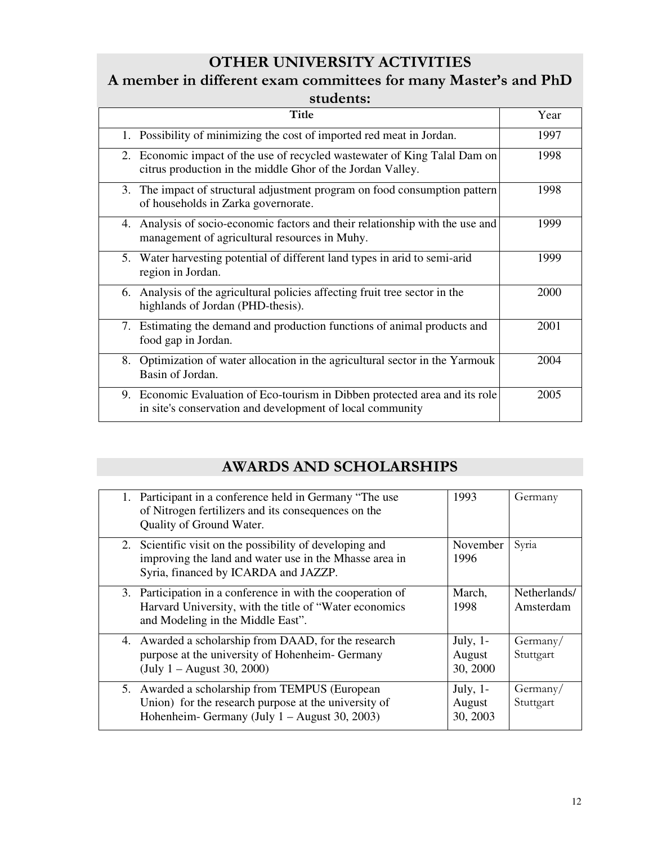### **OTHER UNIVERSITY ACTIVITIES**

#### **A member in different exam committees for many Master's and PhD students:**

| ,,,,,,,,,,,,,                                                                                                                            |      |
|------------------------------------------------------------------------------------------------------------------------------------------|------|
| Title                                                                                                                                    | Year |
| 1. Possibility of minimizing the cost of imported red meat in Jordan.                                                                    | 1997 |
| 2. Economic impact of the use of recycled wastewater of King Talal Dam on<br>citrus production in the middle Ghor of the Jordan Valley.  | 1998 |
| 3. The impact of structural adjustment program on food consumption pattern<br>of households in Zarka governorate.                        | 1998 |
| Analysis of socio-economic factors and their relationship with the use and<br>4.<br>management of agricultural resources in Muhy.        | 1999 |
| 5. Water harvesting potential of different land types in arid to semi-arid<br>region in Jordan.                                          | 1999 |
| Analysis of the agricultural policies affecting fruit tree sector in the<br>6.<br>highlands of Jordan (PHD-thesis).                      | 2000 |
| Estimating the demand and production functions of animal products and<br>7.<br>food gap in Jordan.                                       | 2001 |
| Optimization of water allocation in the agricultural sector in the Yarmouk<br>8.<br>Basin of Jordan.                                     | 2004 |
| 9. Economic Evaluation of Eco-tourism in Dibben protected area and its role<br>in site's conservation and development of local community | 2005 |

### **AWARDS AND SCHOLARSHIPS**

| 1. Participant in a conference held in Germany "The use<br>of Nitrogen fertilizers and its consequences on the<br>Quality of Ground Water.                  | 1993                              | Germany                   |
|-------------------------------------------------------------------------------------------------------------------------------------------------------------|-----------------------------------|---------------------------|
| 2. Scientific visit on the possibility of developing and<br>improving the land and water use in the Mhasse area in<br>Syria, financed by ICARDA and JAZZP.  | November<br>1996                  | Syria                     |
| 3. Participation in a conference in with the cooperation of<br>Harvard University, with the title of "Water economics"<br>and Modeling in the Middle East". | March,<br>1998                    | Netherlands/<br>Amsterdam |
| 4. Awarded a scholarship from DAAD, for the research<br>purpose at the university of Hohenheim-Germany<br>(July $1 -$ August 30, 2000)                      | July, $1-$<br>August<br>30, 2000  | Germany/<br>Stuttgart     |
| 5. Awarded a scholarship from TEMPUS (European<br>Union) for the research purpose at the university of<br>Hohenheim- Germany (July $1 -$ August 30, 2003)   | July, $1$ -<br>August<br>30, 2003 | Germany/<br>Stuttgart     |